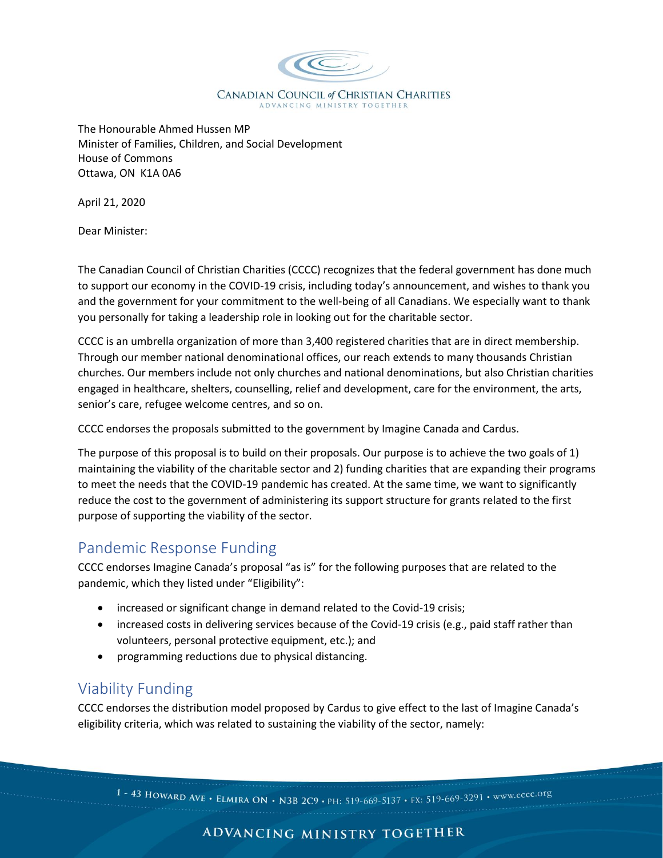

The Honourable Ahmed Hussen MP Minister of Families, Children, and Social Development House of Commons Ottawa, ON K1A 0A6

April 21, 2020

Dear Minister:

The Canadian Council of Christian Charities (CCCC) recognizes that the federal government has done much to support our economy in the COVID-19 crisis, including today's announcement, and wishes to thank you and the government for your commitment to the well-being of all Canadians. We especially want to thank you personally for taking a leadership role in looking out for the charitable sector.

CCCC is an umbrella organization of more than 3,400 registered charities that are in direct membership. Through our member national denominational offices, our reach extends to many thousands Christian churches. Our members include not only churches and national denominations, but also Christian charities engaged in healthcare, shelters, counselling, relief and development, care for the environment, the arts, senior's care, refugee welcome centres, and so on.

CCCC endorses the proposals submitted to the government by Imagine Canada and Cardus.

The purpose of this proposal is to build on their proposals. Our purpose is to achieve the two goals of 1) maintaining the viability of the charitable sector and 2) funding charities that are expanding their programs to meet the needs that the COVID-19 pandemic has created. At the same time, we want to significantly reduce the cost to the government of administering its support structure for grants related to the first purpose of supporting the viability of the sector.

## Pandemic Response Funding

CCCC endorses Imagine Canada's proposal "as is" for the following purposes that are related to the pandemic, which they listed under "Eligibility":

- increased or significant change in demand related to the Covid-19 crisis;
- increased costs in delivering services because of the Covid-19 crisis (e.g., paid staff rather than volunteers, personal protective equipment, etc.); and
- programming reductions due to physical distancing.

## Viability Funding

CCCC endorses the distribution model proposed by Cardus to give effect to the last of Imagine Canada's eligibility criteria, which was related to sustaining the viability of the sector, namely:

1 - 43 HOWARD AVE • ELMIRA ON • N3B 2C9 • PH: 519-669-5137 • FX: 519-669-3291 • www.cccc.org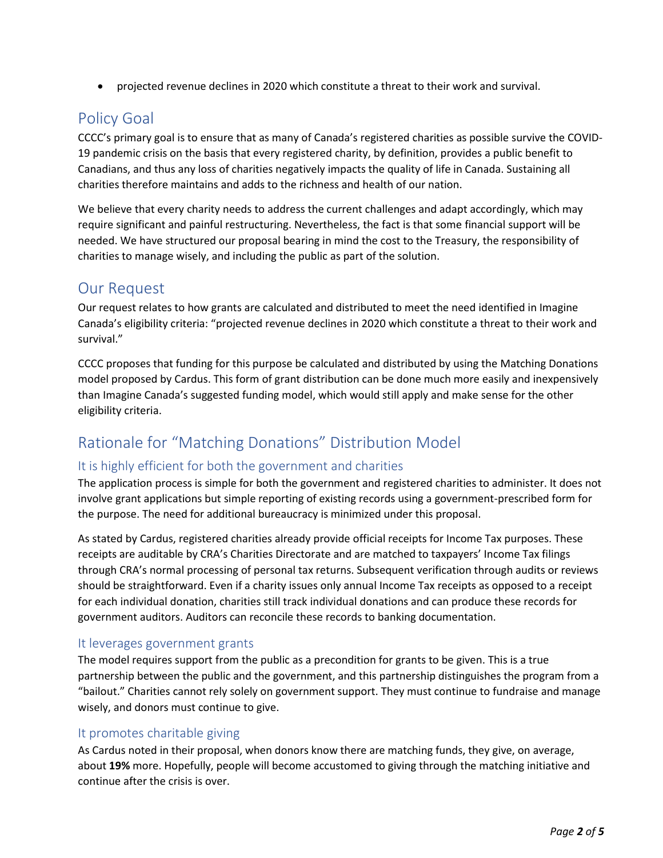• projected revenue declines in 2020 which constitute a threat to their work and survival.

## Policy Goal

CCCC's primary goal is to ensure that as many of Canada's registered charities as possible survive the COVID-19 pandemic crisis on the basis that every registered charity, by definition, provides a public benefit to Canadians, and thus any loss of charities negatively impacts the quality of life in Canada. Sustaining all charities therefore maintains and adds to the richness and health of our nation.

We believe that every charity needs to address the current challenges and adapt accordingly, which may require significant and painful restructuring. Nevertheless, the fact is that some financial support will be needed. We have structured our proposal bearing in mind the cost to the Treasury, the responsibility of charities to manage wisely, and including the public as part of the solution.

## Our Request

Our request relates to how grants are calculated and distributed to meet the need identified in Imagine Canada's eligibility criteria: "projected revenue declines in 2020 which constitute a threat to their work and survival."

CCCC proposes that funding for this purpose be calculated and distributed by using the Matching Donations model proposed by Cardus. This form of grant distribution can be done much more easily and inexpensively than Imagine Canada's suggested funding model, which would still apply and make sense for the other eligibility criteria.

# Rationale for "Matching Donations" Distribution Model

### It is highly efficient for both the government and charities

The application process is simple for both the government and registered charities to administer. It does not involve grant applications but simple reporting of existing records using a government-prescribed form for the purpose. The need for additional bureaucracy is minimized under this proposal.

As stated by Cardus, registered charities already provide official receipts for Income Tax purposes. These receipts are auditable by CRA's Charities Directorate and are matched to taxpayers' Income Tax filings through CRA's normal processing of personal tax returns. Subsequent verification through audits or reviews should be straightforward. Even if a charity issues only annual Income Tax receipts as opposed to a receipt for each individual donation, charities still track individual donations and can produce these records for government auditors. Auditors can reconcile these records to banking documentation.

#### It leverages government grants

The model requires support from the public as a precondition for grants to be given. This is a true partnership between the public and the government, and this partnership distinguishes the program from a "bailout." Charities cannot rely solely on government support. They must continue to fundraise and manage wisely, and donors must continue to give.

#### It promotes charitable giving

As Cardus noted in their proposal, when donors know there are matching funds, they give, on average, about **19%** more. Hopefully, people will become accustomed to giving through the matching initiative and continue after the crisis is over.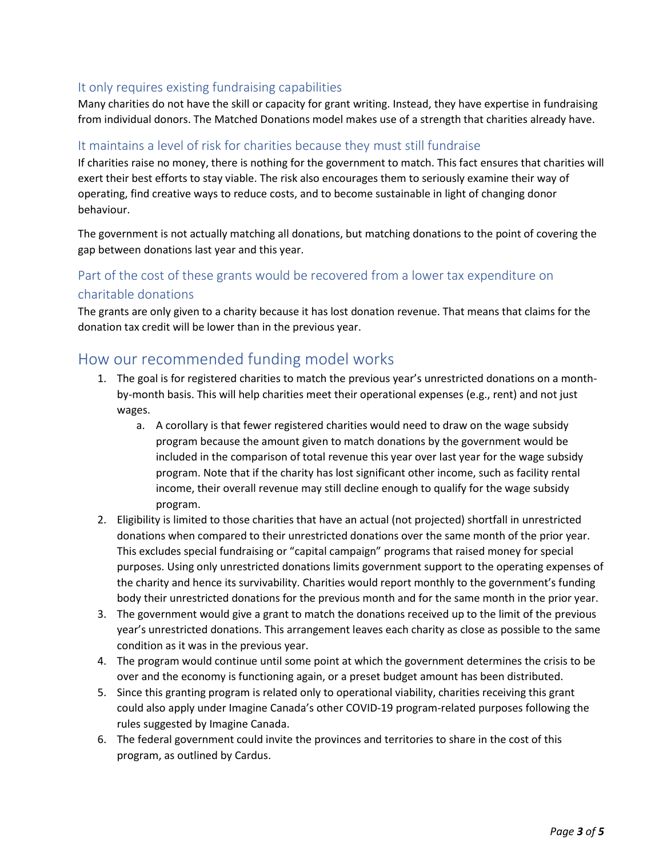#### It only requires existing fundraising capabilities

Many charities do not have the skill or capacity for grant writing. Instead, they have expertise in fundraising from individual donors. The Matched Donations model makes use of a strength that charities already have.

#### It maintains a level of risk for charities because they must still fundraise

If charities raise no money, there is nothing for the government to match. This fact ensures that charities will exert their best efforts to stay viable. The risk also encourages them to seriously examine their way of operating, find creative ways to reduce costs, and to become sustainable in light of changing donor behaviour.

The government is not actually matching all donations, but matching donations to the point of covering the gap between donations last year and this year.

### Part of the cost of these grants would be recovered from a lower tax expenditure on charitable donations

The grants are only given to a charity because it has lost donation revenue. That means that claims for the donation tax credit will be lower than in the previous year.

### How our recommended funding model works

- 1. The goal is for registered charities to match the previous year's unrestricted donations on a monthby-month basis. This will help charities meet their operational expenses (e.g., rent) and not just wages.
	- a. A corollary is that fewer registered charities would need to draw on the wage subsidy program because the amount given to match donations by the government would be included in the comparison of total revenue this year over last year for the wage subsidy program. Note that if the charity has lost significant other income, such as facility rental income, their overall revenue may still decline enough to qualify for the wage subsidy program.
- 2. Eligibility is limited to those charities that have an actual (not projected) shortfall in unrestricted donations when compared to their unrestricted donations over the same month of the prior year. This excludes special fundraising or "capital campaign" programs that raised money for special purposes. Using only unrestricted donations limits government support to the operating expenses of the charity and hence its survivability. Charities would report monthly to the government's funding body their unrestricted donations for the previous month and for the same month in the prior year.
- 3. The government would give a grant to match the donations received up to the limit of the previous year's unrestricted donations. This arrangement leaves each charity as close as possible to the same condition as it was in the previous year.
- 4. The program would continue until some point at which the government determines the crisis to be over and the economy is functioning again, or a preset budget amount has been distributed.
- 5. Since this granting program is related only to operational viability, charities receiving this grant could also apply under Imagine Canada's other COVID-19 program-related purposes following the rules suggested by Imagine Canada.
- 6. The federal government could invite the provinces and territories to share in the cost of this program, as outlined by Cardus.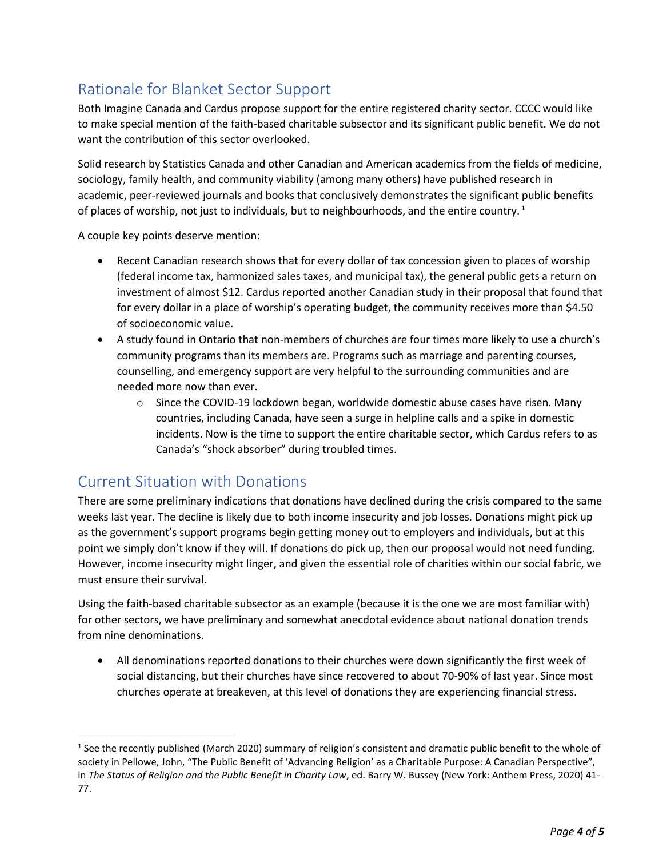# Rationale for Blanket Sector Support

Both Imagine Canada and Cardus propose support for the entire registered charity sector. CCCC would like to make special mention of the faith-based charitable subsector and its significant public benefit. We do not want the contribution of this sector overlooked.

Solid research by Statistics Canada and other Canadian and American academics from the fields of medicine, sociology, family health, and community viability (among many others) have published research in academic, peer-reviewed journals and books that conclusively demonstrates the significant public benefits of places of worship, not just to individuals, but to neighbourhoods, and the entire country. **<sup>1</sup>**

A couple key points deserve mention:

- Recent Canadian research shows that for every dollar of tax concession given to places of worship (federal income tax, harmonized sales taxes, and municipal tax), the general public gets a return on investment of almost \$12. Cardus reported another Canadian study in their proposal that found that for every dollar in a place of worship's operating budget, the community receives more than \$4.50 of socioeconomic value.
- A study found in Ontario that non-members of churches are four times more likely to use a church's community programs than its members are. Programs such as marriage and parenting courses, counselling, and emergency support are very helpful to the surrounding communities and are needed more now than ever.
	- $\circ$  Since the COVID-19 lockdown began, worldwide domestic abuse cases have risen. Many countries, including Canada, have seen a surge in helpline calls and a spike in domestic incidents. Now is the time to support the entire charitable sector, which Cardus refers to as Canada's "shock absorber" during troubled times.

## Current Situation with Donations

There are some preliminary indications that donations have declined during the crisis compared to the same weeks last year. The decline is likely due to both income insecurity and job losses. Donations might pick up as the government's support programs begin getting money out to employers and individuals, but at this point we simply don't know if they will. If donations do pick up, then our proposal would not need funding. However, income insecurity might linger, and given the essential role of charities within our social fabric, we must ensure their survival.

Using the faith-based charitable subsector as an example (because it is the one we are most familiar with) for other sectors, we have preliminary and somewhat anecdotal evidence about national donation trends from nine denominations.

• All denominations reported donations to their churches were down significantly the first week of social distancing, but their churches have since recovered to about 70-90% of last year. Since most churches operate at breakeven, at this level of donations they are experiencing financial stress.

<sup>&</sup>lt;sup>1</sup> See the recently published (March 2020) summary of religion's consistent and dramatic public benefit to the whole of society in Pellowe, John, "The Public Benefit of 'Advancing Religion' as a Charitable Purpose: A Canadian Perspective", in *The Status of Religion and the Public Benefit in Charity Law*, ed. Barry W. Bussey (New York: Anthem Press, 2020) 41- 77.